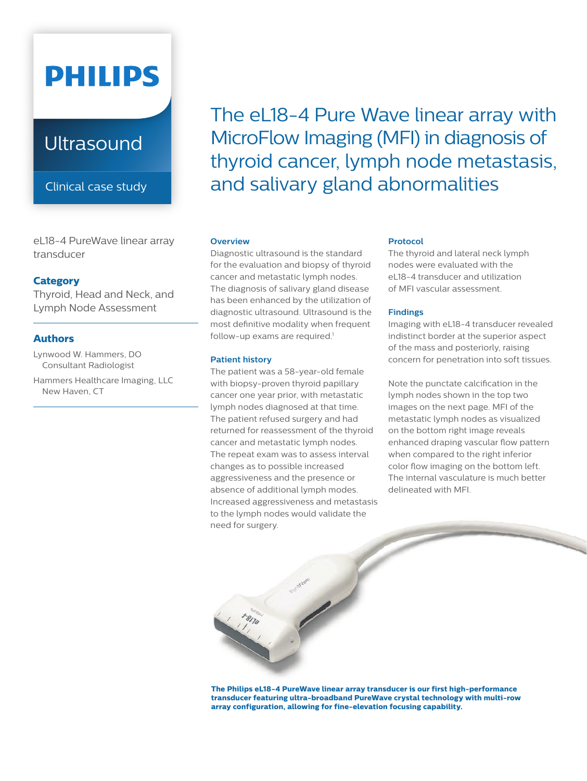# **PHILIPS**

## **Ultrasound**

Clinical case study

eL18-4 PureWave linear array transducer

#### **Category**

Thyroid, Head and Neck, and Lymph Node Assessment

#### **Authors**

Lynwood W. Hammers, DO Consultant Radiologist

Hammers Healthcare Imaging, LLC New Haven, CT

The eL18-4 Pure Wave linear array with MicroFlow Imaging (MFI) in diagnosis of thyroid cancer, lymph node metastasis, and salivary gland abnormalities

#### **Overview**

Diagnostic ultrasound is the standard for the evaluation and biopsy of thyroid cancer and metastatic lymph nodes. The diagnosis of salivary gland disease has been enhanced by the utilization of diagnostic ultrasound. Ultrasound is the most definitive modality when frequent follow-up exams are required.<sup>1</sup>

#### **Patient history**

The patient was a 58-year-old female with biopsy-proven thyroid papillary cancer one year prior, with metastatic lymph nodes diagnosed at that time. The patient refused surgery and had returned for reassessment of the thyroid cancer and metastatic lymph nodes. The repeat exam was to assess interval changes as to possible increased aggressiveness and the presence or absence of additional lymph modes. Increased aggressiveness and metastasis to the lymph nodes would validate the need for surgery.

#### **Protocol**

The thyroid and lateral neck lymph nodes were evaluated with the eL18-4 transducer and utilization of MFI vascular assessment.

#### **Findings**

Imaging with eL18-4 transducer revealed indistinct border at the superior aspect of the mass and posteriorly, raising concern for penetration into soft tissues.

Note the punctate calcification in the lymph nodes shown in the top two images on the next page. MFI of the metastatic lymph nodes as visualized on the bottom right image reveals enhanced draping vascular flow pattern when compared to the right inferior color flow imaging on the bottom left. The internal vasculature is much better delineated with MFI.



**The Philips eL18-4 PureWave linear array transducer is our first high-performance transducer featuring ultra-broadband PureWave crystal technology with multi-row array configuration, allowing for fine-elevation focusing capability.**